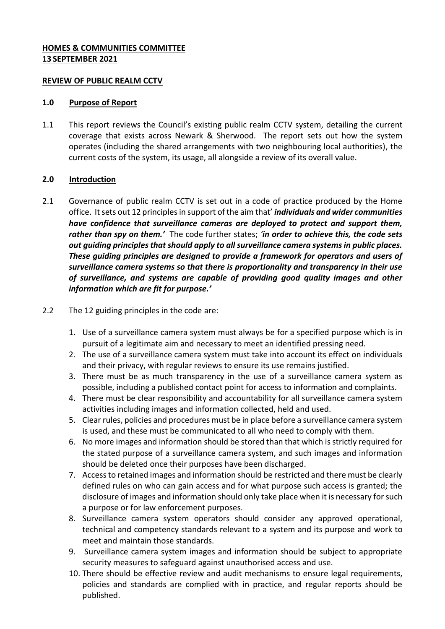## **HOMES & COMMUNITIES COMMITTEE 13 SEPTEMBER 2021**

### **REVIEW OF PUBLIC REALM CCTV**

#### **1.0 Purpose of Report**

1.1 This report reviews the Council's existing public realm CCTV system, detailing the current coverage that exists across Newark & Sherwood. The report sets out how the system operates (including the shared arrangements with two neighbouring local authorities), the current costs of the system, its usage, all alongside a review of its overall value.

## **2.0 Introduction**

- 2.1 Governance of public realm CCTV is set out in a code of practice produced by the Home office. It sets out 12 principles in support of the aim that' *individuals and wider communities have confidence that surveillance cameras are deployed to protect and support them, rather than spy on them.'* The code further states; *'in order to achieve this, the code sets out guiding principles that should apply to all surveillance camera systems in public places. These guiding principles are designed to provide a framework for operators and users of surveillance camera systems so that there is proportionality and transparency in their use of surveillance, and systems are capable of providing good quality images and other information which are fit for purpose.'*
- 2.2 The 12 guiding principles in the code are:
	- 1. Use of a surveillance camera system must always be for a specified purpose which is in pursuit of a legitimate aim and necessary to meet an identified pressing need.
	- 2. The use of a surveillance camera system must take into account its effect on individuals and their privacy, with regular reviews to ensure its use remains justified.
	- 3. There must be as much transparency in the use of a surveillance camera system as possible, including a published contact point for access to information and complaints.
	- 4. There must be clear responsibility and accountability for all surveillance camera system activities including images and information collected, held and used.
	- 5. Clear rules, policies and procedures must be in place before a surveillance camera system is used, and these must be communicated to all who need to comply with them.
	- 6. No more images and information should be stored than that which is strictly required for the stated purpose of a surveillance camera system, and such images and information should be deleted once their purposes have been discharged.
	- 7. Access to retained images and information should be restricted and there must be clearly defined rules on who can gain access and for what purpose such access is granted; the disclosure of images and information should only take place when it is necessary for such a purpose or for law enforcement purposes.
	- 8. Surveillance camera system operators should consider any approved operational, technical and competency standards relevant to a system and its purpose and work to meet and maintain those standards.
	- 9. Surveillance camera system images and information should be subject to appropriate security measures to safeguard against unauthorised access and use.
	- 10. There should be effective review and audit mechanisms to ensure legal requirements, policies and standards are complied with in practice, and regular reports should be published.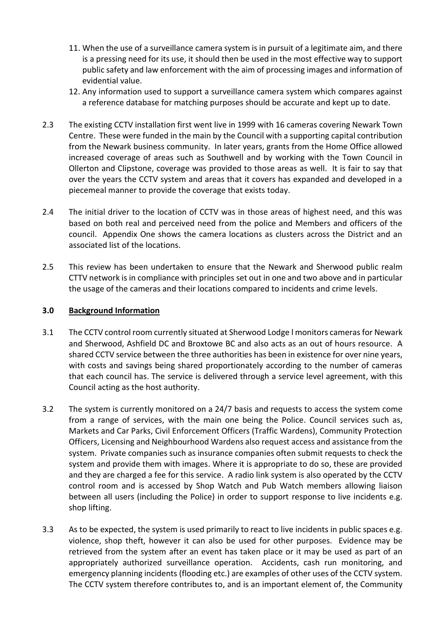- 11. When the use of a surveillance camera system is in pursuit of a legitimate aim, and there is a pressing need for its use, it should then be used in the most effective way to support public safety and law enforcement with the aim of processing images and information of evidential value.
- 12. Any information used to support a surveillance camera system which compares against a reference database for matching purposes should be accurate and kept up to date.
- 2.3 The existing CCTV installation first went live in 1999 with 16 cameras covering Newark Town Centre. These were funded in the main by the Council with a supporting capital contribution from the Newark business community. In later years, grants from the Home Office allowed increased coverage of areas such as Southwell and by working with the Town Council in Ollerton and Clipstone, coverage was provided to those areas as well. It is fair to say that over the years the CCTV system and areas that it covers has expanded and developed in a piecemeal manner to provide the coverage that exists today.
- 2.4 The initial driver to the location of CCTV was in those areas of highest need, and this was based on both real and perceived need from the police and Members and officers of the council. Appendix One shows the camera locations as clusters across the District and an associated list of the locations.
- 2.5 This review has been undertaken to ensure that the Newark and Sherwood public realm CTTV network is in compliance with principles set out in one and two above and in particular the usage of the cameras and their locations compared to incidents and crime levels.

## **3.0 Background Information**

- 3.1 The CCTV control room currently situated at Sherwood Lodge l monitors cameras for Newark and Sherwood, Ashfield DC and Broxtowe BC and also acts as an out of hours resource. A shared CCTV service between the three authorities has been in existence for over nine years, with costs and savings being shared proportionately according to the number of cameras that each council has. The service is delivered through a service level agreement, with this Council acting as the host authority.
- 3.2 The system is currently monitored on a 24/7 basis and requests to access the system come from a range of services, with the main one being the Police. Council services such as, Markets and Car Parks, Civil Enforcement Officers (Traffic Wardens), Community Protection Officers, Licensing and Neighbourhood Wardens also request access and assistance from the system. Private companies such as insurance companies often submit requests to check the system and provide them with images. Where it is appropriate to do so, these are provided and they are charged a fee for this service. A radio link system is also operated by the CCTV control room and is accessed by Shop Watch and Pub Watch members allowing liaison between all users (including the Police) in order to support response to live incidents e.g. shop lifting.
- 3.3 As to be expected, the system is used primarily to react to live incidents in public spaces e.g. violence, shop theft, however it can also be used for other purposes. Evidence may be retrieved from the system after an event has taken place or it may be used as part of an appropriately authorized surveillance operation. Accidents, cash run monitoring, and emergency planning incidents (flooding etc.) are examples of other uses of the CCTV system. The CCTV system therefore contributes to, and is an important element of, the Community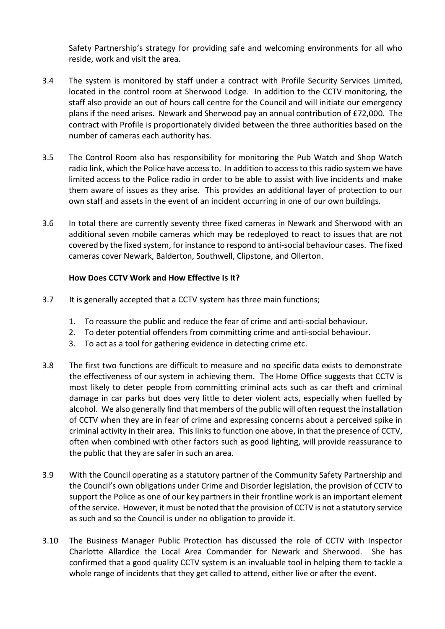Safety Partnership's strategy for providing safe and welcoming environments for all who reside, work and visit the area.

- 3.4 The system is monitored by staff under a contract with Profile Security Services Limited, located in the control room at Sherwood Lodge. In addition to the CCTV monitoring, the staff also provide an out of hours call centre for the Council and will initiate our emergency plans if the need arises. Newark and Sherwood pay an annual contribution of £72,000. The contract with Profile is proportionately divided between the three authorities based on the number of cameras each authority has.
- 3.5 The Control Room also has responsibility for monitoring the Pub Watch and Shop Watch radio link, which the Police have access to. In addition to access to this radio system we have limited access to the Police radio in order to be able to assist with live incidents and make them aware of issues as they arise. This provides an additional layer of protection to our own staff and assets in the event of an incident occurring in one of our own buildings.
- 3.6 In total there are currently seventy three fixed cameras in Newark and Sherwood with an additional seven mobile cameras which may be redeployed to react to issues that are not covered by the fixed system, for instance to respond to anti-social behaviour cases. The fixed cameras cover Newark, Balderton, Southwell, Clipstone, and Ollerton.

## **How Does CCTV Work and How Effective Is It?**

- 3.7 It is generally accepted that a CCTV system has three main functions;
	- 1. To reassure the public and reduce the fear of crime and anti-social behaviour.
	- 2. To deter potential offenders from committing crime and anti-social behaviour.
	- 3. To act as a tool for gathering evidence in detecting crime etc.
- 3.8 The first two functions are difficult to measure and no specific data exists to demonstrate the effectiveness of our system in achieving them. The Home Office suggests that CCTV is most likely to deter people from committing criminal acts such as car theft and criminal damage in car parks but does very little to deter violent acts, especially when fuelled by alcohol. We also generally find that members of the public will often request the installation of CCTV when they are in fear of crime and expressing concerns about a perceived spike in criminal activity in their area. This links to function one above, in that the presence of CCTV, often when combined with other factors such as good lighting, will provide reassurance to the public that they are safer in such an area.
- 3.9 With the Council operating as a statutory partner of the Community Safety Partnership and the Council's own obligations under Crime and Disorder legislation, the provision of CCTV to support the Police as one of our key partners in their frontline work is an important element of the service. However, it must be noted that the provision of CCTV is not a statutory service as such and so the Council is under no obligation to provide it.
- 3.10 The Business Manager Public Protection has discussed the role of CCTV with Inspector Charlotte Allardice the Local Area Commander for Newark and Sherwood. She has confirmed that a good quality CCTV system is an invaluable tool in helping them to tackle a whole range of incidents that they get called to attend, either live or after the event.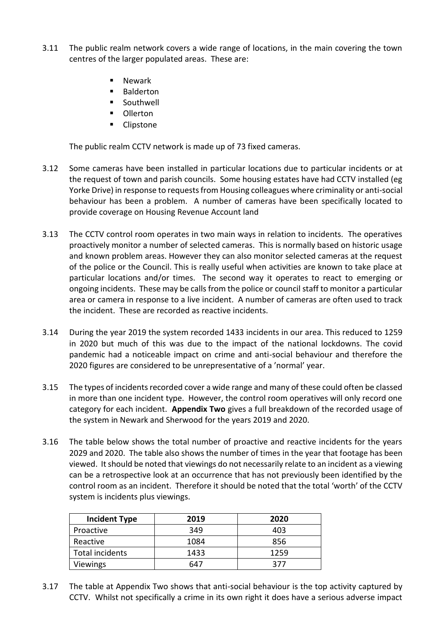- 3.11 The public realm network covers a wide range of locations, in the main covering the town centres of the larger populated areas. These are:
	- Newark
	- Balderton
	- Southwell
	- **Ollerton**
	- **Clipstone**

The public realm CCTV network is made up of 73 fixed cameras.

- 3.12 Some cameras have been installed in particular locations due to particular incidents or at the request of town and parish councils. Some housing estates have had CCTV installed (eg Yorke Drive) in response to requests from Housing colleagues where criminality or anti-social behaviour has been a problem. A number of cameras have been specifically located to provide coverage on Housing Revenue Account land
- 3.13 The CCTV control room operates in two main ways in relation to incidents. The operatives proactively monitor a number of selected cameras. This is normally based on historic usage and known problem areas. However they can also monitor selected cameras at the request of the police or the Council. This is really useful when activities are known to take place at particular locations and/or times. The second way it operates to react to emerging or ongoing incidents. These may be calls from the police or council staff to monitor a particular area or camera in response to a live incident. A number of cameras are often used to track the incident. These are recorded as reactive incidents.
- 3.14 During the year 2019 the system recorded 1433 incidents in our area. This reduced to 1259 in 2020 but much of this was due to the impact of the national lockdowns. The covid pandemic had a noticeable impact on crime and anti-social behaviour and therefore the 2020 figures are considered to be unrepresentative of a 'normal' year.
- 3.15 The types of incidents recorded cover a wide range and many of these could often be classed in more than one incident type. However, the control room operatives will only record one category for each incident. **Appendix Two** gives a full breakdown of the recorded usage of the system in Newark and Sherwood for the years 2019 and 2020.
- 3.16 The table below shows the total number of proactive and reactive incidents for the years 2029 and 2020. The table also shows the number of times in the year that footage has been viewed. It should be noted that viewings do not necessarily relate to an incident as a viewing can be a retrospective look at an occurrence that has not previously been identified by the control room as an incident. Therefore it should be noted that the total 'worth' of the CCTV system is incidents plus viewings.

| <b>Incident Type</b> | 2019 | 2020 |
|----------------------|------|------|
| Proactive            | 349  | 403  |
| Reactive             | 1084 | 856  |
| Total incidents      | 1433 | 1259 |
| Viewings             | 647  | 377  |

3.17 The table at Appendix Two shows that anti-social behaviour is the top activity captured by CCTV. Whilst not specifically a crime in its own right it does have a serious adverse impact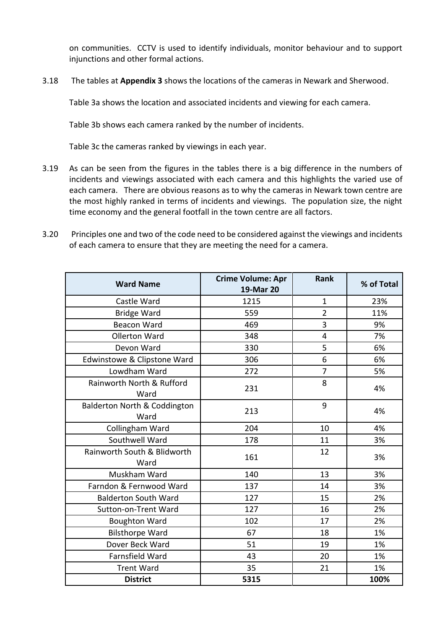on communities. CCTV is used to identify individuals, monitor behaviour and to support injunctions and other formal actions.

3.18 The tables at **Appendix 3** shows the locations of the cameras in Newark and Sherwood.

Table 3a shows the location and associated incidents and viewing for each camera.

Table 3b shows each camera ranked by the number of incidents.

Table 3c the cameras ranked by viewings in each year.

- 3.19 As can be seen from the figures in the tables there is a big difference in the numbers of incidents and viewings associated with each camera and this highlights the varied use of each camera. There are obvious reasons as to why the cameras in Newark town centre are the most highly ranked in terms of incidents and viewings. The population size, the night time economy and the general footfall in the town centre are all factors.
- 3.20 Principles one and two of the code need to be considered against the viewings and incidents of each camera to ensure that they are meeting the need for a camera.

| <b>Ward Name</b>                     | <b>Crime Volume: Apr</b><br>19-Mar 20 | <b>Rank</b>             | % of Total |
|--------------------------------------|---------------------------------------|-------------------------|------------|
| Castle Ward                          | 1215                                  | $\mathbf{1}$            | 23%        |
| <b>Bridge Ward</b>                   | 559                                   | $\overline{2}$          | 11%        |
| <b>Beacon Ward</b>                   | 469                                   | 3                       | 9%         |
| <b>Ollerton Ward</b>                 | 348                                   | $\overline{\mathbf{4}}$ | 7%         |
| Devon Ward                           | 330                                   | 5                       | 6%         |
| Edwinstowe & Clipstone Ward          | 306                                   | 6                       | 6%         |
| Lowdham Ward                         | 272                                   | $\overline{7}$          | 5%         |
| Rainworth North & Rufford<br>Ward    | 231                                   | 8                       | 4%         |
| Balderton North & Coddington<br>Ward | 213                                   | 9                       | 4%         |
| Collingham Ward                      | 204                                   | 10                      | 4%         |
| Southwell Ward                       | 178                                   | 11                      | 3%         |
| Rainworth South & Blidworth<br>Ward  | 161                                   | 12                      | 3%         |
| Muskham Ward                         | 140                                   | 13                      | 3%         |
| Farndon & Fernwood Ward              | 137                                   | 14                      | 3%         |
| <b>Balderton South Ward</b>          | 127                                   | 15                      | 2%         |
| Sutton-on-Trent Ward                 | 127                                   | 16                      | 2%         |
| <b>Boughton Ward</b>                 | 102                                   | 17                      | 2%         |
| <b>Bilsthorpe Ward</b>               | 67                                    | 18                      | 1%         |
| Dover Beck Ward                      | 51                                    | 19                      | 1%         |
| Farnsfield Ward                      | 43                                    | 20                      | 1%         |
| <b>Trent Ward</b>                    | 35                                    | 21                      | 1%         |
| <b>District</b>                      | 5315                                  |                         | 100%       |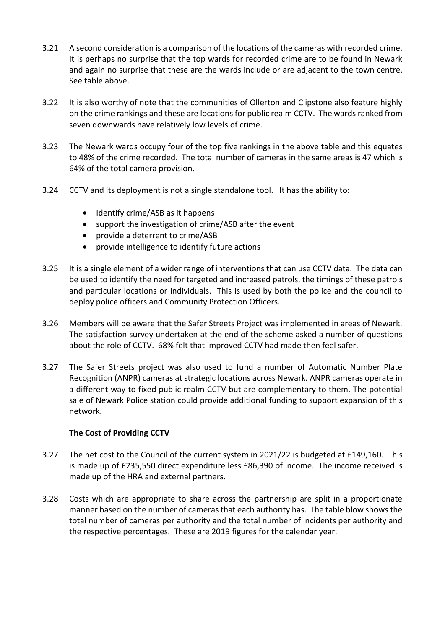- 3.21 A second consideration is a comparison of the locations of the cameras with recorded crime. It is perhaps no surprise that the top wards for recorded crime are to be found in Newark and again no surprise that these are the wards include or are adjacent to the town centre. See table above.
- 3.22 It is also worthy of note that the communities of Ollerton and Clipstone also feature highly on the crime rankings and these are locations for public realm CCTV. The wards ranked from seven downwards have relatively low levels of crime.
- 3.23 The Newark wards occupy four of the top five rankings in the above table and this equates to 48% of the crime recorded. The total number of cameras in the same areas is 47 which is 64% of the total camera provision.
- 3.24 CCTV and its deployment is not a single standalone tool. It has the ability to:
	- $\bullet$  Identify crime/ASB as it happens
	- support the investigation of crime/ASB after the event
	- provide a deterrent to crime/ASB
	- provide intelligence to identify future actions
- 3.25 It is a single element of a wider range of interventions that can use CCTV data. The data can be used to identify the need for targeted and increased patrols, the timings of these patrols and particular locations or individuals. This is used by both the police and the council to deploy police officers and Community Protection Officers.
- 3.26 Members will be aware that the Safer Streets Project was implemented in areas of Newark. The satisfaction survey undertaken at the end of the scheme asked a number of questions about the role of CCTV. 68% felt that improved CCTV had made then feel safer.
- 3.27 The Safer Streets project was also used to fund a number of Automatic Number Plate Recognition (ANPR) cameras at strategic locations across Newark. ANPR cameras operate in a different way to fixed public realm CCTV but are complementary to them. The potential sale of Newark Police station could provide additional funding to support expansion of this network.

#### **The Cost of Providing CCTV**

- 3.27 The net cost to the Council of the current system in 2021/22 is budgeted at £149,160. This is made up of £235,550 direct expenditure less £86,390 of income. The income received is made up of the HRA and external partners.
- 3.28 Costs which are appropriate to share across the partnership are split in a proportionate manner based on the number of cameras that each authority has. The table blow shows the total number of cameras per authority and the total number of incidents per authority and the respective percentages. These are 2019 figures for the calendar year.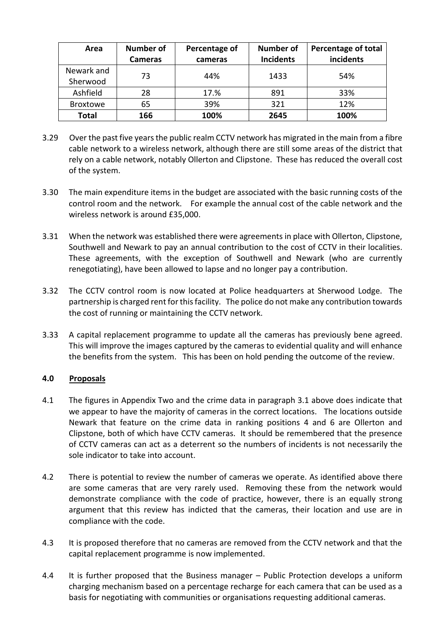| Area                   | Number of<br><b>Cameras</b> | Percentage of<br>cameras | <b>Number of</b><br><b>Incidents</b> | Percentage of total<br>incidents |
|------------------------|-----------------------------|--------------------------|--------------------------------------|----------------------------------|
| Newark and<br>Sherwood | 73                          | 44%                      | 1433                                 | 54%                              |
| Ashfield               | 28                          | 17.%                     | 891                                  | 33%                              |
| <b>Broxtowe</b>        | 65                          | 39%                      | 321                                  | 12%                              |
| <b>Total</b>           | 166                         | 100%                     | 2645                                 | 100%                             |

- 3.29 Over the past five years the public realm CCTV network has migrated in the main from a fibre cable network to a wireless network, although there are still some areas of the district that rely on a cable network, notably Ollerton and Clipstone. These has reduced the overall cost of the system.
- 3.30 The main expenditure items in the budget are associated with the basic running costs of the control room and the network. For example the annual cost of the cable network and the wireless network is around £35,000.
- 3.31 When the network was established there were agreements in place with Ollerton, Clipstone, Southwell and Newark to pay an annual contribution to the cost of CCTV in their localities. These agreements, with the exception of Southwell and Newark (who are currently renegotiating), have been allowed to lapse and no longer pay a contribution.
- 3.32 The CCTV control room is now located at Police headquarters at Sherwood Lodge. The partnership is charged rent for this facility. The police do not make any contribution towards the cost of running or maintaining the CCTV network.
- 3.33 A capital replacement programme to update all the cameras has previously bene agreed. This will improve the images captured by the cameras to evidential quality and will enhance the benefits from the system. This has been on hold pending the outcome of the review.

## **4.0 Proposals**

- 4.1 The figures in Appendix Two and the crime data in paragraph 3.1 above does indicate that we appear to have the majority of cameras in the correct locations. The locations outside Newark that feature on the crime data in ranking positions 4 and 6 are Ollerton and Clipstone, both of which have CCTV cameras. It should be remembered that the presence of CCTV cameras can act as a deterrent so the numbers of incidents is not necessarily the sole indicator to take into account.
- 4.2 There is potential to review the number of cameras we operate. As identified above there are some cameras that are very rarely used. Removing these from the network would demonstrate compliance with the code of practice, however, there is an equally strong argument that this review has indicted that the cameras, their location and use are in compliance with the code.
- 4.3 It is proposed therefore that no cameras are removed from the CCTV network and that the capital replacement programme is now implemented.
- 4.4 It is further proposed that the Business manager Public Protection develops a uniform charging mechanism based on a percentage recharge for each camera that can be used as a basis for negotiating with communities or organisations requesting additional cameras.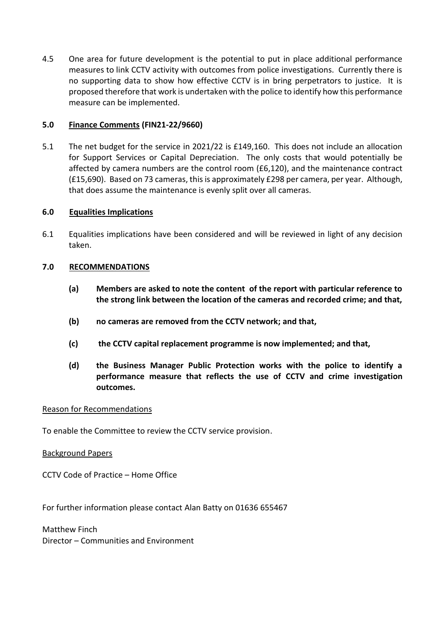4.5 One area for future development is the potential to put in place additional performance measures to link CCTV activity with outcomes from police investigations. Currently there is no supporting data to show how effective CCTV is in bring perpetrators to justice. It is proposed therefore that work is undertaken with the police to identify how this performance measure can be implemented.

## **5.0 Finance Comments (FIN21-22/9660)**

5.1 The net budget for the service in 2021/22 is £149,160. This does not include an allocation for Support Services or Capital Depreciation. The only costs that would potentially be affected by camera numbers are the control room (£6,120), and the maintenance contract (£15,690). Based on 73 cameras, this is approximately £298 per camera, per year. Although, that does assume the maintenance is evenly split over all cameras.

## **6.0 Equalities Implications**

6.1 Equalities implications have been considered and will be reviewed in light of any decision taken.

## **7.0 RECOMMENDATIONS**

- **(a) Members are asked to note the content of the report with particular reference to the strong link between the location of the cameras and recorded crime; and that,**
- **(b) no cameras are removed from the CCTV network; and that,**
- **(c) the CCTV capital replacement programme is now implemented; and that,**
- **(d) the Business Manager Public Protection works with the police to identify a performance measure that reflects the use of CCTV and crime investigation outcomes.**

#### Reason for Recommendations

To enable the Committee to review the CCTV service provision.

#### Background Papers

CCTV Code of Practice – Home Office

For further information please contact Alan Batty on 01636 655467

Matthew Finch Director – Communities and Environment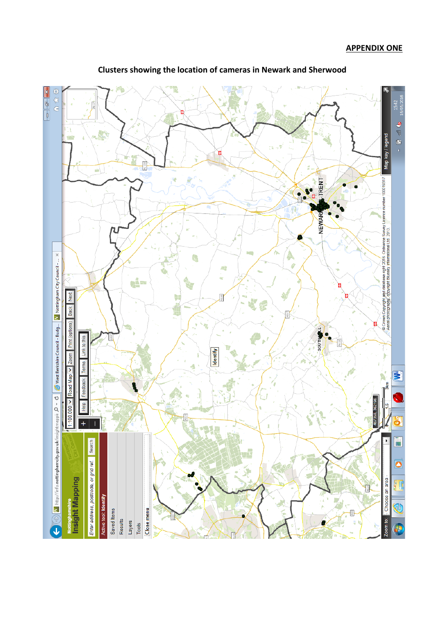

**Clusters showing the location of cameras in Newark and Sherwood**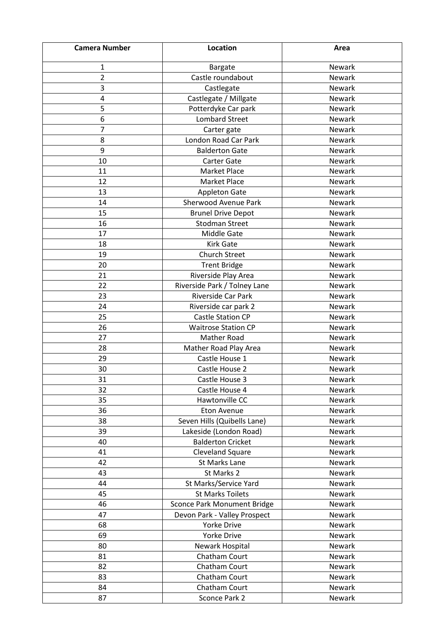| <b>Camera Number</b> | Location                           | Area   |
|----------------------|------------------------------------|--------|
| 1                    | <b>Bargate</b>                     | Newark |
| $\overline{2}$       | Castle roundabout                  | Newark |
| 3                    | Castlegate                         | Newark |
| 4                    | Castlegate / Millgate              | Newark |
| 5                    | Potterdyke Car park                | Newark |
| 6                    | <b>Lombard Street</b>              | Newark |
| 7                    | Carter gate                        | Newark |
| 8                    | London Road Car Park               | Newark |
| 9                    | <b>Balderton Gate</b>              | Newark |
| 10                   | <b>Carter Gate</b>                 | Newark |
| 11                   | <b>Market Place</b>                | Newark |
| 12                   | Market Place                       | Newark |
| 13                   | <b>Appleton Gate</b>               | Newark |
| 14                   | Sherwood Avenue Park               | Newark |
| 15                   | <b>Brunel Drive Depot</b>          | Newark |
| 16                   | <b>Stodman Street</b>              | Newark |
| 17                   | Middle Gate                        | Newark |
| 18                   | <b>Kirk Gate</b>                   | Newark |
| 19                   | <b>Church Street</b>               | Newark |
| 20                   | <b>Trent Bridge</b>                | Newark |
| 21                   | Riverside Play Area                | Newark |
| 22                   | Riverside Park / Tolney Lane       | Newark |
| 23                   | Riverside Car Park                 | Newark |
| 24                   | Riverside car park 2               | Newark |
| 25                   | <b>Castle Station CP</b>           | Newark |
| 26                   | <b>Waitrose Station CP</b>         | Newark |
| 27                   | Mather Road                        | Newark |
| 28                   | Mather Road Play Area              | Newark |
| 29                   | Castle House 1                     | Newark |
| 30                   | Castle House 2                     | Newark |
| 31                   | Castle House 3                     | Newark |
| 32                   | Castle House 4                     | Newark |
| 35                   | Hawtonville CC                     | Newark |
| 36                   | <b>Eton Avenue</b>                 | Newark |
| 38                   | Seven Hills (Quibells Lane)        | Newark |
| 39                   | Lakeside (London Road)             | Newark |
| 40                   | <b>Balderton Cricket</b>           | Newark |
| 41                   | Cleveland Square                   | Newark |
| 42                   | St Marks Lane                      | Newark |
| 43                   | St Marks 2                         | Newark |
| 44                   | St Marks/Service Yard              | Newark |
| 45                   | <b>St Marks Toilets</b>            | Newark |
| 46                   | <b>Sconce Park Monument Bridge</b> | Newark |
| 47                   | Devon Park - Valley Prospect       | Newark |
| 68                   | Yorke Drive                        | Newark |
| 69                   | Yorke Drive                        | Newark |
| 80                   | Newark Hospital                    | Newark |
| 81                   | Chatham Court                      | Newark |
| 82                   | Chatham Court                      | Newark |
| 83                   | Chatham Court                      | Newark |
| 84                   | Chatham Court                      | Newark |
| 87                   | Sconce Park 2                      | Newark |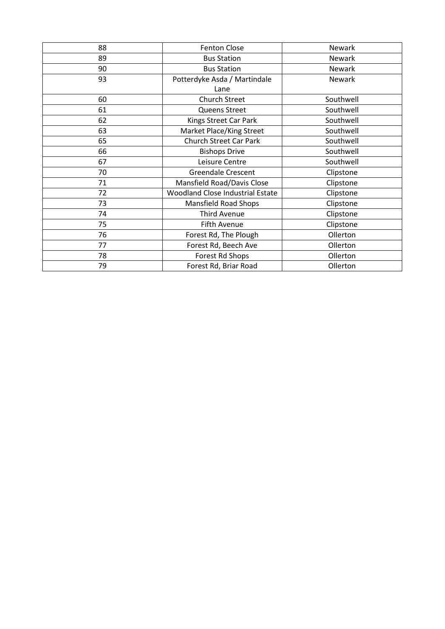| 88 | <b>Fenton Close</b>              | <b>Newark</b> |
|----|----------------------------------|---------------|
| 89 | <b>Bus Station</b>               | Newark        |
| 90 | <b>Bus Station</b>               | Newark        |
| 93 | Potterdyke Asda / Martindale     | Newark        |
|    | Lane                             |               |
| 60 | <b>Church Street</b>             | Southwell     |
| 61 | Queens Street                    | Southwell     |
| 62 | Kings Street Car Park            | Southwell     |
| 63 | Market Place/King Street         | Southwell     |
| 65 | <b>Church Street Car Park</b>    | Southwell     |
| 66 | <b>Bishops Drive</b>             | Southwell     |
| 67 | Leisure Centre                   | Southwell     |
| 70 | <b>Greendale Crescent</b>        | Clipstone     |
| 71 | Mansfield Road/Davis Close       | Clipstone     |
| 72 | Woodland Close Industrial Estate | Clipstone     |
| 73 | <b>Mansfield Road Shops</b>      | Clipstone     |
| 74 | <b>Third Avenue</b>              | Clipstone     |
| 75 | <b>Fifth Avenue</b>              | Clipstone     |
| 76 | Forest Rd, The Plough            | Ollerton      |
| 77 | Forest Rd, Beech Ave             | Ollerton      |
| 78 | Forest Rd Shops                  | Ollerton      |
| 79 | Forest Rd, Briar Road            | Ollerton      |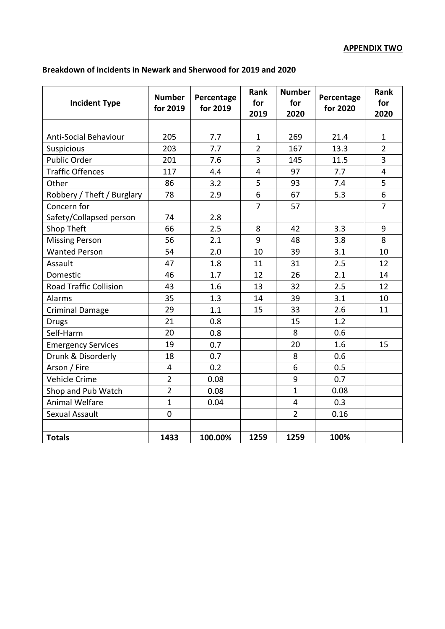# **Breakdown of incidents in Newark and Sherwood for 2019 and 2020**

| <b>Incident Type</b>          | <b>Number</b><br>for 2019 | Percentage<br>for 2019 | Rank<br>for<br>2019 | <b>Number</b><br>for<br>2020 | Percentage<br>for 2020 | <b>Rank</b><br>for<br>2020 |
|-------------------------------|---------------------------|------------------------|---------------------|------------------------------|------------------------|----------------------------|
|                               |                           |                        |                     |                              |                        |                            |
| <b>Anti-Social Behaviour</b>  | 205                       | 7.7                    | $\mathbf{1}$        | 269                          | 21.4                   | $\mathbf{1}$               |
| Suspicious                    | 203                       | 7.7                    | $\overline{2}$      | 167                          | 13.3                   | $\overline{2}$             |
| Public Order                  | 201                       | 7.6                    | 3                   | 145                          | 11.5                   | 3                          |
| <b>Traffic Offences</b>       | 117                       | 4.4                    | 4                   | 97                           | 7.7                    | $\overline{4}$             |
| Other                         | 86                        | 3.2                    | 5                   | 93                           | 7.4                    | 5                          |
| Robbery / Theft / Burglary    | 78                        | 2.9                    | 6                   | 67                           | 5.3                    | 6                          |
| Concern for                   |                           |                        | $\overline{7}$      | 57                           |                        | $\overline{7}$             |
| Safety/Collapsed person       | 74                        | 2.8                    |                     |                              |                        |                            |
| Shop Theft                    | 66                        | 2.5                    | 8                   | 42                           | 3.3                    | 9                          |
| <b>Missing Person</b>         | 56                        | 2.1                    | 9                   | 48                           | 3.8                    | 8                          |
| <b>Wanted Person</b>          | 54                        | 2.0                    | 10                  | 39                           | 3.1                    | 10                         |
| Assault                       | 47                        | 1.8                    | 11                  | 31                           | 2.5                    | 12                         |
| Domestic                      | 46                        | 1.7                    | 12                  | 26                           | 2.1                    | 14                         |
| <b>Road Traffic Collision</b> | 43                        | 1.6                    | 13                  | 32                           | 2.5                    | 12                         |
| <b>Alarms</b>                 | 35                        | 1.3                    | 14                  | 39                           | 3.1                    | 10                         |
| <b>Criminal Damage</b>        | 29                        | 1.1                    | 15                  | 33                           | 2.6                    | 11                         |
| <b>Drugs</b>                  | 21                        | 0.8                    |                     | 15                           | 1.2                    |                            |
| Self-Harm                     | 20                        | 0.8                    |                     | 8                            | 0.6                    |                            |
| <b>Emergency Services</b>     | 19                        | 0.7                    |                     | 20                           | 1.6                    | 15                         |
| Drunk & Disorderly            | 18                        | 0.7                    |                     | 8                            | 0.6                    |                            |
| Arson / Fire                  | 4                         | 0.2                    |                     | 6                            | 0.5                    |                            |
| Vehicle Crime                 | $\overline{2}$            | 0.08                   |                     | 9                            | 0.7                    |                            |
| Shop and Pub Watch            | $\overline{2}$            | 0.08                   |                     | $\mathbf{1}$                 | 0.08                   |                            |
| <b>Animal Welfare</b>         | $\mathbf{1}$              | 0.04                   |                     | 4                            | 0.3                    |                            |
| Sexual Assault                | $\overline{0}$            |                        |                     | $\overline{2}$               | 0.16                   |                            |
|                               |                           |                        |                     |                              |                        |                            |
| <b>Totals</b>                 | 1433                      | 100.00%                | 1259                | 1259                         | 100%                   |                            |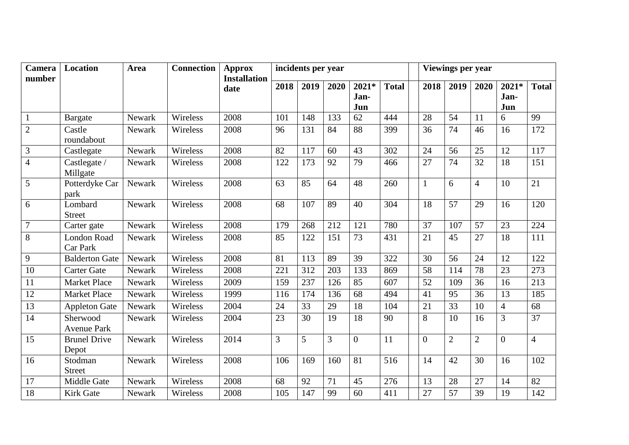| Camera<br>number | <b>Location</b>                | Area   | <b>Connection</b> | <b>Approx</b><br><b>Installation</b> |                | incidents per year |      |                      |              |                | Viewings per year |                 |                        |                |
|------------------|--------------------------------|--------|-------------------|--------------------------------------|----------------|--------------------|------|----------------------|--------------|----------------|-------------------|-----------------|------------------------|----------------|
|                  |                                |        |                   | date                                 | 2018           | 2019               | 2020 | 2021*<br>Jan-<br>Jun | <b>Total</b> | 2018           | 2019              | 2020            | $2021*$<br>Jan-<br>Jun | <b>Total</b>   |
| $1\,$            | <b>Bargate</b>                 | Newark | Wireless          | 2008                                 | 101            | 148                | 133  | 62                   | 444          | 28             | 54                | 11              | 6                      | 99             |
| $\overline{2}$   | Castle<br>roundabout           | Newark | Wireless          | 2008                                 | 96             | 131                | 84   | 88                   | 399          | 36             | 74                | 46              | 16                     | 172            |
| 3                | Castlegate                     | Newark | Wireless          | 2008                                 | 82             | 117                | 60   | 43                   | 302          | 24             | 56                | 25              | 12                     | 117            |
| $\overline{4}$   | Castlegate /<br>Millgate       | Newark | Wireless          | 2008                                 | 122            | 173                | 92   | 79                   | 466          | 27             | 74                | 32              | 18                     | 151            |
| 5                | Potterdyke Car<br>park         | Newark | Wireless          | 2008                                 | 63             | 85                 | 64   | 48                   | 260          | $\mathbf{1}$   | 6                 | $\overline{4}$  | 10                     | 21             |
| 6                | Lombard<br><b>Street</b>       | Newark | Wireless          | 2008                                 | 68             | 107                | 89   | 40                   | 304          | 18             | 57                | 29              | 16                     | 120            |
| $\overline{7}$   | Carter gate                    | Newark | Wireless          | 2008                                 | 179            | 268                | 212  | 121                  | 780          | 37             | 107               | 57              | 23                     | 224            |
| 8                | London Road<br>Car Park        | Newark | Wireless          | 2008                                 | 85             | 122                | 151  | 73                   | 431          | 21             | 45                | 27              | 18                     | 111            |
| 9                | <b>Balderton Gate</b>          | Newark | Wireless          | 2008                                 | 81             | 113                | 89   | 39                   | 322          | 30             | 56                | 24              | 12                     | 122            |
| $\overline{10}$  | <b>Carter Gate</b>             | Newark | Wireless          | 2008                                 | 221            | 312                | 203  | 133                  | 869          | 58             | 114               | $\overline{78}$ | 23                     | 273            |
| 11               | <b>Market Place</b>            | Newark | Wireless          | 2009                                 | 159            | 237                | 126  | 85                   | 607          | 52             | 109               | 36              | 16                     | 213            |
| 12               | <b>Market Place</b>            | Newark | Wireless          | 1999                                 | 116            | 174                | 136  | 68                   | 494          | 41             | 95                | 36              | 13                     | 185            |
| 13               | <b>Appleton Gate</b>           | Newark | Wireless          | 2004                                 | 24             | 33                 | 29   | 18                   | 104          | 21             | 33                | 10              | $\overline{4}$         | 68             |
| 14               | Sherwood<br><b>Avenue Park</b> | Newark | Wireless          | 2004                                 | 23             | 30                 | 19   | 18                   | 90           | 8              | 10                | 16              | $\overline{3}$         | 37             |
| 15               | <b>Brunel Drive</b><br>Depot   | Newark | Wireless          | 2014                                 | $\overline{3}$ | 5                  | 3    | $\overline{0}$       | 11           | $\overline{0}$ | $\overline{2}$    | $\overline{2}$  | $\overline{0}$         | $\overline{4}$ |
| 16               | Stodman<br><b>Street</b>       | Newark | Wireless          | 2008                                 | 106            | 169                | 160  | 81                   | 516          | 14             | 42                | 30              | 16                     | 102            |
| 17               | Middle Gate                    | Newark | Wireless          | 2008                                 | 68             | 92                 | 71   | 45                   | 276          | 13             | 28                | 27              | 14                     | 82             |
| 18               | <b>Kirk Gate</b>               | Newark | Wireless          | 2008                                 | 105            | 147                | 99   | 60                   | 411          | 27             | 57                | 39              | 19                     | 142            |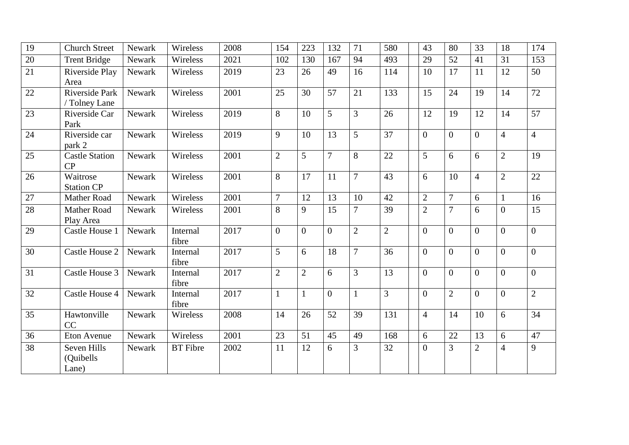| $\overline{19}$ | <b>Church Street</b>              | Newark | Wireless          | 2008 | 154            | 223            | 132            | 71             | 580            | 43             | 80             | 33             | 18             | 174             |
|-----------------|-----------------------------------|--------|-------------------|------|----------------|----------------|----------------|----------------|----------------|----------------|----------------|----------------|----------------|-----------------|
| $\overline{20}$ | <b>Trent Bridge</b>               | Newark | Wireless          | 2021 | 102            | 130            | 167            | 94             | 493            | 29             | 52             | 41             | 31             | 153             |
| $\overline{21}$ | Riverside Play<br>Area            | Newark | Wireless          | 2019 | 23             | 26             | 49             | 16             | 114            | 10             | 17             | 11             | 12             | 50              |
| 22              | Riverside Park<br>/ Tolney Lane   | Newark | Wireless          | 2001 | 25             | 30             | 57             | 21             | 133            | 15             | 24             | 19             | 14             | 72              |
| 23              | Riverside Car<br>Park             | Newark | Wireless          | 2019 | 8              | 10             | 5              | 3              | 26             | 12             | 19             | 12             | 14             | 57              |
| 24              | Riverside car<br>park 2           | Newark | Wireless          | 2019 | 9              | 10             | 13             | 5              | 37             | $\overline{0}$ | $\overline{0}$ | $\overline{0}$ | $\overline{4}$ | $\overline{4}$  |
| 25              | <b>Castle Station</b><br>CP       | Newark | Wireless          | 2001 | 2              | 5              | $\overline{7}$ | 8              | 22             | 5              | 6              | 6              | $\overline{2}$ | 19              |
| 26              | Waitrose<br><b>Station CP</b>     | Newark | Wireless          | 2001 | 8              | 17             | 11             | $\overline{7}$ | 43             | 6              | 10             | $\overline{4}$ | $\overline{2}$ | 22              |
| 27              | Mather Road                       | Newark | Wireless          | 2001 | $\overline{7}$ | 12             | 13             | 10             | 42             | $\mathbf{2}$   | $\overline{7}$ | 6              | $\mathbf{1}$   | 16              |
| 28              | Mather Road<br>Play Area          | Newark | Wireless          | 2001 | 8              | 9              | 15             | $\overline{7}$ | 39             | $\overline{2}$ | $\overline{7}$ | 6              | $\overline{0}$ | 15              |
| $\overline{29}$ | Castle House 1                    | Newark | Internal<br>fibre | 2017 | $\overline{0}$ | $\Omega$       | $\overline{0}$ | $\overline{2}$ | $\overline{2}$ | $\Omega$       | $\overline{0}$ | $\overline{0}$ | $\Omega$       | $\overline{0}$  |
| 30              | Castle House 2                    | Newark | Internal<br>fibre | 2017 | 5              | 6              | 18             | $\overline{7}$ | 36             | $\overline{0}$ | $\overline{0}$ | $\Omega$       | $\overline{0}$ | $\overline{0}$  |
| 31              | Castle House 3                    | Newark | Internal<br>fibre | 2017 | $\overline{2}$ | $\overline{2}$ | 6              | $\overline{3}$ | 13             | $\Omega$       | $\overline{0}$ | $\theta$       | $\Omega$       | $\overline{0}$  |
| $\overline{32}$ | Castle House 4                    | Newark | Internal<br>fibre | 2017 | $\mathbf{1}$   | $\mathbf{1}$   | $\overline{0}$ |                | 3              | $\overline{0}$ | $\overline{2}$ | $\overline{0}$ | $\overline{0}$ | $\overline{2}$  |
| $\overline{35}$ | Hawtonville<br>CC                 | Newark | Wireless          | 2008 | 14             | 26             | 52             | 39             | 131            | $\overline{4}$ | 14             | 10             | 6              | $\overline{34}$ |
| $\overline{36}$ | Eton Avenue                       | Newark | Wireless          | 2001 | 23             | 51             | 45             | 49             | 168            | 6              | 22             | 13             | 6              | 47              |
| 38              | Seven Hills<br>(Quibells<br>Lane) | Newark | <b>BT</b> Fibre   | 2002 | 11             | 12             | 6              | 3              | 32             | $\overline{0}$ | $\overline{3}$ | $\overline{2}$ | $\overline{4}$ | 9               |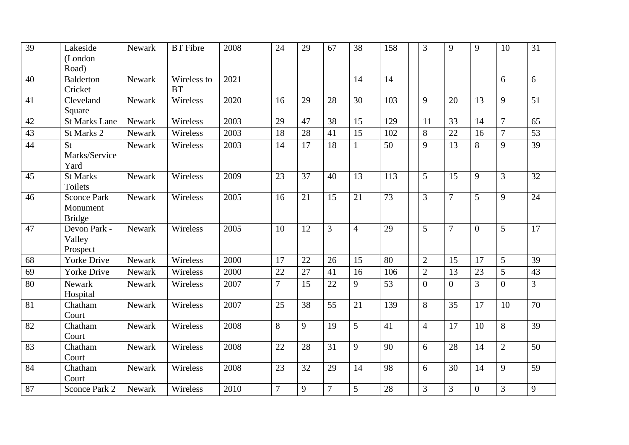| 39              | Lakeside<br>(London<br>Road)                    | Newark | <b>BT</b> Fibre          | 2008 | 24             | 29 | 67     | 38             | 158 | 3              | 9                | 9            | 10             | 31              |
|-----------------|-------------------------------------------------|--------|--------------------------|------|----------------|----|--------|----------------|-----|----------------|------------------|--------------|----------------|-----------------|
| 40              | <b>Balderton</b><br>Cricket                     | Newark | Wireless to<br><b>BT</b> | 2021 |                |    |        | 14             | 14  |                |                  |              | 6              | 6               |
| $\overline{41}$ | Cleveland<br>Square                             | Newark | Wireless                 | 2020 | 16             | 29 | 28     | 30             | 103 | 9              | 20               | 13           | 9              | $\overline{51}$ |
| 42              | <b>St Marks Lane</b>                            | Newark | Wireless                 | 2003 | 29             | 47 | 38     | 15             | 129 | 11             | $\overline{33}$  | 14           | $\overline{7}$ | 65              |
| 43              | St Marks 2                                      | Newark | Wireless                 | 2003 | 18             | 28 | 41     | 15             | 102 | 8              | 22               | 16           | 7              | 53              |
| $\overline{44}$ | St<br>Marks/Service<br>Yard                     | Newark | Wireless                 | 2003 | 14             | 17 | 18     | $\mathbf{1}$   | 50  | 9              | 13               | 8            | 9              | 39              |
| 45              | <b>St Marks</b><br>Toilets                      | Newark | Wireless                 | 2009 | 23             | 37 | 40     | 13             | 113 | 5              | 15               | 9            | 3              | 32              |
| 46              | <b>Sconce Park</b><br>Monument<br><b>Bridge</b> | Newark | Wireless                 | 2005 | 16             | 21 | 15     | 21             | 73  | 3              | $\overline{7}$   | 5            | 9              | 24              |
| 47              | Devon Park -<br>Valley<br>Prospect              | Newark | Wireless                 | 2005 | 10             | 12 | 3      | $\overline{4}$ | 29  | 5              | $\overline{7}$   | $\theta$     | 5              | 17              |
| 68              | <b>Yorke Drive</b>                              | Newark | Wireless                 | 2000 | 17             | 22 | 26     | 15             | 80  | $\mathbf{2}$   | 15               | 17           | 5              | 39              |
| 69              | <b>Yorke Drive</b>                              | Newark | Wireless                 | 2000 | 22             | 27 | 41     | 16             | 106 | $\overline{2}$ | 13               | 23           | 5              | 43              |
| 80              | Newark<br>Hospital                              | Newark | Wireless                 | 2007 | $\overline{7}$ | 15 | 22     | 9              | 53  | $\overline{0}$ | $\boldsymbol{0}$ | 3            | $\overline{0}$ | 3               |
| 81              | Chatham<br>Court                                | Newark | Wireless                 | 2007 | 25             | 38 | 55     | 21             | 139 | 8              | 35               | 17           | 10             | 70              |
| $\overline{82}$ | Chatham<br>Court                                | Newark | Wireless                 | 2008 | 8              | 9  | 19     | 5              | 41  | $\overline{4}$ | 17               | 10           | 8              | 39              |
| 83              | Chatham<br>Court                                | Newark | Wireless                 | 2008 | 22             | 28 | 31     | 9              | 90  | 6              | 28               | 14           | $\overline{2}$ | 50              |
| 84              | Chatham<br>Court                                | Newark | Wireless                 | 2008 | 23             | 32 | 29     | 14             | 98  | 6              | 30               | 14           | 9              | 59              |
| 87              | Sconce Park 2                                   | Newark | Wireless                 | 2010 | $\overline{7}$ | 9  | $\tau$ | 5              | 28  | 3              | 3                | $\mathbf{0}$ | 3              | 9               |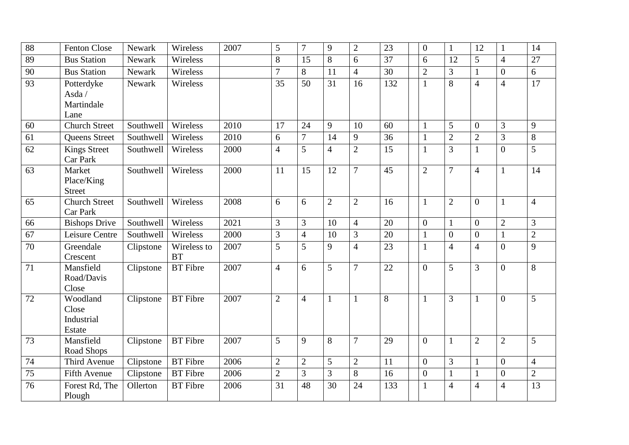| 88              | <b>Fenton Close</b>                        | Newark    | Wireless                 | 2007 | 5              | 7              | 9              | $\overline{2}$ | 23  | $\overline{0}$   | $\mathbf{1}$     | 12               | $\mathbf{1}$     | 14             |
|-----------------|--------------------------------------------|-----------|--------------------------|------|----------------|----------------|----------------|----------------|-----|------------------|------------------|------------------|------------------|----------------|
| 89              | <b>Bus Station</b>                         | Newark    | Wireless                 |      | 8              | 15             | 8              | 6              | 37  | 6                | 12               | 5                | $\overline{4}$   | 27             |
| 90              | <b>Bus Station</b>                         | Newark    | Wireless                 |      | $\overline{7}$ | 8              | 11             | $\overline{4}$ | 30  | $\sqrt{2}$       | 3                | $\mathbf{1}$     | $\overline{0}$   | 6              |
| 93              | Potterdyke<br>Asda /<br>Martindale<br>Lane | Newark    | Wireless                 |      | 35             | 50             | 31             | 16             | 132 | $\mathbf{1}$     | 8                | $\overline{4}$   | $\overline{4}$   | 17             |
| 60              | <b>Church Street</b>                       | Southwell | Wireless                 | 2010 | 17             | 24             | 9              | 10             | 60  | $\mathbf{1}$     | 5                | $\overline{0}$   | 3                | 9              |
| 61              | <b>Queens Street</b>                       | Southwell | Wireless                 | 2010 | 6              | $\overline{7}$ | 14             | 9              | 36  | $\mathbf{1}$     | $\overline{c}$   | $\overline{2}$   | $\overline{3}$   | 8              |
| $\overline{62}$ | <b>Kings Street</b><br><b>Car Park</b>     | Southwell | Wireless                 | 2000 | $\overline{4}$ | 5              | $\overline{4}$ | $\overline{2}$ | 15  | $\mathbf{1}$     | $\overline{3}$   | $\mathbf{1}$     | $\overline{0}$   | 5              |
| 63              | Market<br>Place/King<br><b>Street</b>      | Southwell | Wireless                 | 2000 | 11             | 15             | 12             | $\overline{7}$ | 45  | $\overline{2}$   | $\overline{7}$   | $\overline{4}$   | $\mathbf{1}$     | 14             |
| 65              | <b>Church Street</b><br>Car Park           | Southwell | Wireless                 | 2008 | 6              | 6              | $\overline{2}$ | $\overline{2}$ | 16  | $\mathbf{1}$     | $\overline{2}$   | $\overline{0}$   | $\mathbf{1}$     | $\overline{4}$ |
| 66              | <b>Bishops Drive</b>                       | Southwell | Wireless                 | 2021 | $\overline{3}$ | 3              | 10             | $\overline{4}$ | 20  | $\overline{0}$   | $\mathbf{1}$     | $\overline{0}$   | $\overline{2}$   | 3              |
| 67              | Leisure Centre                             | Southwell | Wireless                 | 2000 | $\mathfrak{Z}$ | $\overline{4}$ | 10             | 3              | 20  | $\mathbf{1}$     | $\boldsymbol{0}$ | $\boldsymbol{0}$ | $\mathbf{1}$     | $\sqrt{2}$     |
| $\overline{70}$ | Greendale<br>Crescent                      | Clipstone | Wireless to<br><b>BT</b> | 2007 | 5              | 5              | 9              | $\overline{4}$ | 23  | $\mathbf{1}$     | $\overline{4}$   | $\overline{4}$   | $\overline{0}$   | 9              |
| 71              | Mansfield<br>Road/Davis<br>Close           | Clipstone | <b>BT</b> Fibre          | 2007 | $\overline{4}$ | 6              | 5              | $\overline{7}$ | 22  | $\overline{0}$   | 5                | 3                | $\overline{0}$   | 8              |
| 72              | Woodland<br>Close<br>Industrial<br>Estate  | Clipstone | <b>BT</b> Fibre          | 2007 | 2              | $\overline{4}$ | 1              | $\mathbf{1}$   | 8   | $\mathbf{1}$     | $\overline{3}$   | $\mathbf{1}$     | $\overline{0}$   | 5              |
| 73              | Mansfield<br>Road Shops                    | Clipstone | <b>BT</b> Fibre          | 2007 | 5              | 9              | 8              | 7              | 29  | $\overline{0}$   | 1                | $\overline{2}$   | $\overline{2}$   | 5              |
| 74              | Third Avenue                               | Clipstone | <b>BT</b> Fibre          | 2006 | $\overline{2}$ | $\overline{2}$ | 5              | $\overline{2}$ | 11  | $\boldsymbol{0}$ | 3                | $\mathbf{1}$     | $\boldsymbol{0}$ | $\overline{4}$ |
| 75              | <b>Fifth Avenue</b>                        | Clipstone | <b>BT</b> Fibre          | 2006 | $\sqrt{2}$     | 3              | 3              | 8              | 16  | $\boldsymbol{0}$ | $\mathbf{1}$     |                  | $\overline{0}$   | $\sqrt{2}$     |
| 76              | Forest Rd, The<br>Plough                   | Ollerton  | <b>BT</b> Fibre          | 2006 | 31             | 48             | 30             | 24             | 133 | $\mathbf{1}$     | $\overline{4}$   | $\overline{4}$   | $\overline{4}$   | 13             |